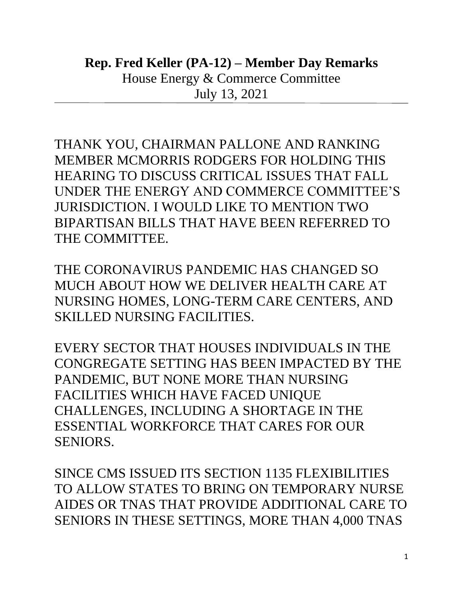THANK YOU, CHAIRMAN PALLONE AND RANKING MEMBER MCMORRIS RODGERS FOR HOLDING THIS HEARING TO DISCUSS CRITICAL ISSUES THAT FALL UNDER THE ENERGY AND COMMERCE COMMITTEE'S JURISDICTION. I WOULD LIKE TO MENTION TWO BIPARTISAN BILLS THAT HAVE BEEN REFERRED TO THE COMMITTEE.

THE CORONAVIRUS PANDEMIC HAS CHANGED SO MUCH ABOUT HOW WE DELIVER HEALTH CARE AT NURSING HOMES, LONG-TERM CARE CENTERS, AND SKILLED NURSING FACILITIES.

EVERY SECTOR THAT HOUSES INDIVIDUALS IN THE CONGREGATE SETTING HAS BEEN IMPACTED BY THE PANDEMIC, BUT NONE MORE THAN NURSING FACILITIES WHICH HAVE FACED UNIQUE CHALLENGES, INCLUDING A SHORTAGE IN THE ESSENTIAL WORKFORCE THAT CARES FOR OUR SENIORS.

SINCE CMS ISSUED ITS SECTION 1135 FLEXIBILITIES TO ALLOW STATES TO BRING ON TEMPORARY NURSE AIDES OR TNAS THAT PROVIDE ADDITIONAL CARE TO SENIORS IN THESE SETTINGS, MORE THAN 4,000 TNAS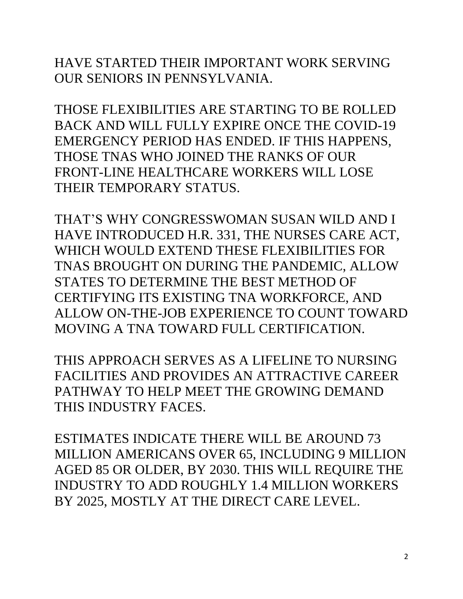HAVE STARTED THEIR IMPORTANT WORK SERVING OUR SENIORS IN PENNSYLVANIA.

THOSE FLEXIBILITIES ARE STARTING TO BE ROLLED BACK AND WILL FULLY EXPIRE ONCE THE COVID-19 EMERGENCY PERIOD HAS ENDED. IF THIS HAPPENS, THOSE TNAS WHO JOINED THE RANKS OF OUR FRONT-LINE HEALTHCARE WORKERS WILL LOSE THEIR TEMPORARY STATUS.

THAT'S WHY CONGRESSWOMAN SUSAN WILD AND I HAVE INTRODUCED H.R. 331, THE NURSES CARE ACT, WHICH WOULD EXTEND THESE FLEXIBILITIES FOR TNAS BROUGHT ON DURING THE PANDEMIC, ALLOW STATES TO DETERMINE THE BEST METHOD OF CERTIFYING ITS EXISTING TNA WORKFORCE, AND ALLOW ON-THE-JOB EXPERIENCE TO COUNT TOWARD MOVING A TNA TOWARD FULL CERTIFICATION.

THIS APPROACH SERVES AS A LIFELINE TO NURSING FACILITIES AND PROVIDES AN ATTRACTIVE CAREER PATHWAY TO HELP MEET THE GROWING DEMAND THIS INDUSTRY FACES.

ESTIMATES INDICATE THERE WILL BE AROUND 73 MILLION AMERICANS OVER 65, INCLUDING 9 MILLION AGED 85 OR OLDER, BY 2030. THIS WILL REQUIRE THE INDUSTRY TO ADD ROUGHLY 1.4 MILLION WORKERS BY 2025, MOSTLY AT THE DIRECT CARE LEVEL.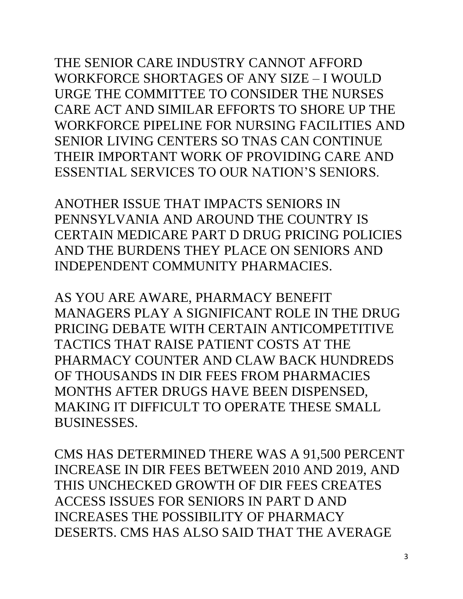THE SENIOR CARE INDUSTRY CANNOT AFFORD WORKFORCE SHORTAGES OF ANY SIZE – I WOULD URGE THE COMMITTEE TO CONSIDER THE NURSES CARE ACT AND SIMILAR EFFORTS TO SHORE UP THE WORKFORCE PIPELINE FOR NURSING FACILITIES AND SENIOR LIVING CENTERS SO TNAS CAN CONTINUE THEIR IMPORTANT WORK OF PROVIDING CARE AND ESSENTIAL SERVICES TO OUR NATION'S SENIORS.

ANOTHER ISSUE THAT IMPACTS SENIORS IN PENNSYLVANIA AND AROUND THE COUNTRY IS CERTAIN MEDICARE PART D DRUG PRICING POLICIES AND THE BURDENS THEY PLACE ON SENIORS AND INDEPENDENT COMMUNITY PHARMACIES.

AS YOU ARE AWARE, PHARMACY BENEFIT MANAGERS PLAY A SIGNIFICANT ROLE IN THE DRUG PRICING DEBATE WITH CERTAIN ANTICOMPETITIVE TACTICS THAT RAISE PATIENT COSTS AT THE PHARMACY COUNTER AND CLAW BACK HUNDREDS OF THOUSANDS IN DIR FEES FROM PHARMACIES MONTHS AFTER DRUGS HAVE BEEN DISPENSED, MAKING IT DIFFICULT TO OPERATE THESE SMALL BUSINESSES.

CMS HAS DETERMINED THERE WAS A 91,500 PERCENT INCREASE IN DIR FEES BETWEEN 2010 AND 2019, AND THIS UNCHECKED GROWTH OF DIR FEES CREATES ACCESS ISSUES FOR SENIORS IN PART D AND INCREASES THE POSSIBILITY OF PHARMACY DESERTS. CMS HAS ALSO SAID THAT THE AVERAGE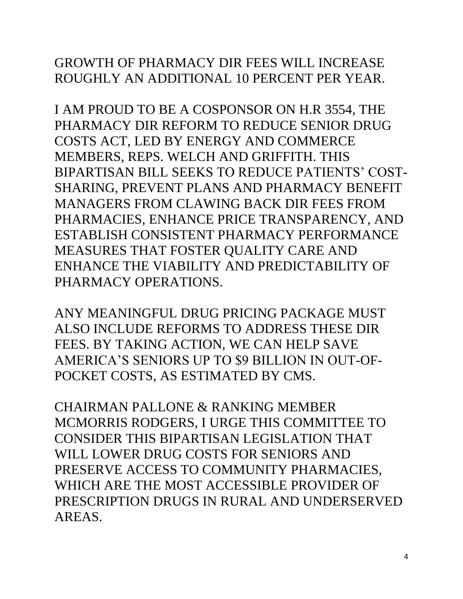## GROWTH OF PHARMACY DIR FEES WILL INCREASE ROUGHLY AN ADDITIONAL 10 PERCENT PER YEAR.

I AM PROUD TO BE A COSPONSOR ON H.R 3554, THE PHARMACY DIR REFORM TO REDUCE SENIOR DRUG COSTS ACT, LED BY ENERGY AND COMMERCE MEMBERS, REPS. WELCH AND GRIFFITH. THIS BIPARTISAN BILL SEEKS TO REDUCE PATIENTS' COST-SHARING, PREVENT PLANS AND PHARMACY BENEFIT MANAGERS FROM CLAWING BACK DIR FEES FROM PHARMACIES, ENHANCE PRICE TRANSPARENCY, AND ESTABLISH CONSISTENT PHARMACY PERFORMANCE MEASURES THAT FOSTER QUALITY CARE AND ENHANCE THE VIABILITY AND PREDICTABILITY OF PHARMACY OPERATIONS.

ANY MEANINGFUL DRUG PRICING PACKAGE MUST ALSO INCLUDE REFORMS TO ADDRESS THESE DIR FEES. BY TAKING ACTION, WE CAN HELP SAVE AMERICA'S SENIORS UP TO \$9 BILLION IN OUT-OF-POCKET COSTS, AS ESTIMATED BY CMS.

CHAIRMAN PALLONE & RANKING MEMBER MCMORRIS RODGERS, I URGE THIS COMMITTEE TO CONSIDER THIS BIPARTISAN LEGISLATION THAT WILL LOWER DRUG COSTS FOR SENIORS AND PRESERVE ACCESS TO COMMUNITY PHARMACIES, WHICH ARE THE MOST ACCESSIBLE PROVIDER OF PRESCRIPTION DRUGS IN RURAL AND UNDERSERVED AREAS.